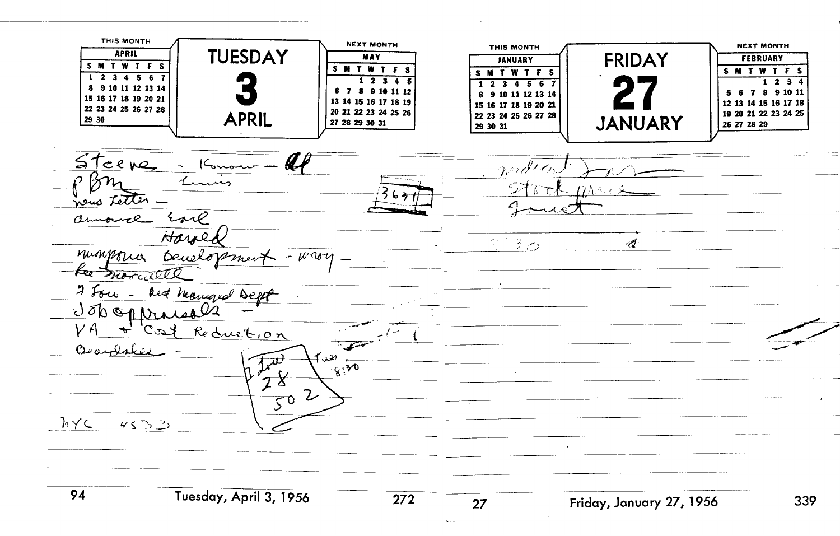**THIS MONTH FEBRUARY FRIDAY THIS MONTH NEXT MONTH FEBRUARY**<br> **FEBRUARY**<br> **S M T W T F S TUESDAY APRIL FRIDAY MAY SMTWTFS SMTWTFS**  $1 2 3 4 5 6$  $1 2 3 4 5$  $1234$ 1 2 3 4 5 6 8 9 10 11 12 13 14 6 7 8 9 10 11 12 5 6 7 8 9 10 11 8 9 10 11 12 13 14 15 16 17 18 19 20 21 13 14 15 16 17 18 19 12 13 14 15 16 17 18 15 16 17 18 19 20 21 22 23 24 25 26 27 28 20 21 22 23 24 25 26 19 20 21 22 23 24 25 **APRIL**  22 23 24 25 26 27 28 **JANUARY**  29 30 27 28 29 30 31 26 27 28 29 29 30 31  $5$ teene, - Konon widen Lum news Letter. Earl an - 2 Harre  $220$  $\mathcal{A}$ mighting beneforment  $-$  Ware ka morcille 7 Four - Rest Mangeal Dept Jobopraise Reduction agaylabor า ี. าา  $\overline{\bm{u}}$  $\sqrt{8^{30}}$  $7^{\circ}$  $\frac{2}{50}$  2  $h \vee c$  $45.33$ 94 **~uesday, April 3, 1956** -- - -- 339 **Friday, January 27, 1956 Line**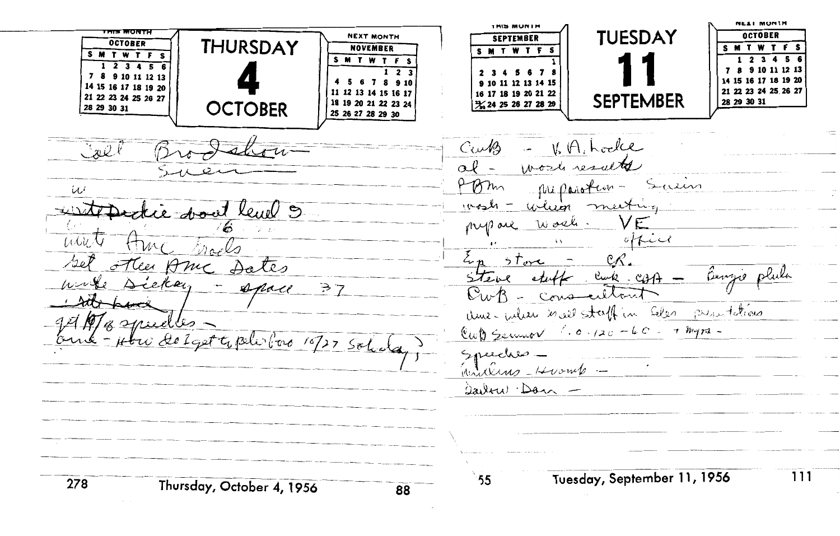**NEAL MONTH IMIS MUNIM TUESDAY OCTOBER NEXT MONTH SEPTEMBER THURSDAY OCTOBER NOVEMBER SMTWTF MTWTF SMTWTFS** SMTWTF  $1<sub>2</sub>$ 5.  $1 2 3 4 5 6$ 12 13  $1<sub>2</sub>$  $2<sup>3</sup>$ 7 8 9 10 11 12 13 14 15 16 17 18 19 20 4 5 6 7 8 9 10 9 10 11 12 13 14 15 14 15 16 17 18 19 20 21 22 23 24 25 26 27 11 12 13 14 15 16 17 16 17 18 19 20 21 22 21 22 23 24 25 26 27 **SEPTEMBER** 18 19 20 21 22 23 24 28 29 30 31 3% 24 25 26 27 28 29 28 29 30 31 **OCTOBER** 25 26 27 28 29 30 CuMs  $V, A, h$  odle  $\vee x \vee$  $\alpha l$  work results Dom Saun fue parotion نمايأ winn  $msh =$ at level 9 Work. pup are office  $\lambda$ صامعة En store The Am Dates  $12e$  $C(1)$  stuff  $\Rightarrow$  7  $\mathbb{C}_{\omega}$ Conseillant ame when most staff in Elen presentations Maznuelles.  $ewb$  Server 1.0.120-60. + myrs. w delget to politice 10/27 Sol. Speeches  $inulus = Hvomb \hat{a}$ Tuesday, September 11, 1956 111 55 278 Thursday, October 4, 1956 88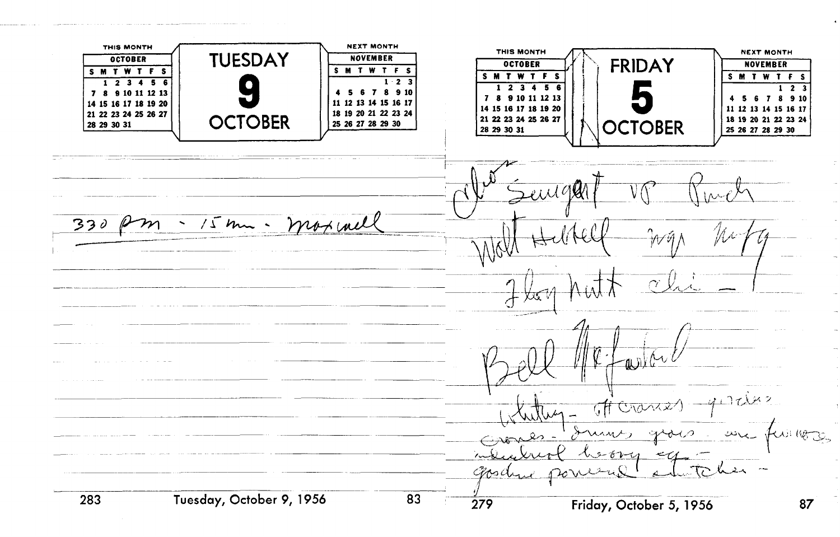**NOVEMBER THIS MONTH WAS CONSIDER THIS MONTH NEXT MONTH THIS MONTH EXTREMINATE OCTOBER NEXT MONTH**  1 **TUESDAY OCTOBER NOVEMBER SMTWTFS SMTWTF** S M T W T F S  $1 \cdot 2$  3  $1 2 3 4 5 6$  $1 \t2 \t3 \t4$  $\overline{\mathbf{5}}$  $1 \t2 \t3$ 4 5 6 7 8 9 10 7 8 9 10 11 12 13 7 8 9 10 11 12 13 4 5 6 7 8 9 10 11 12 13 14 15 16 17 14 15 16 17 18 19 20 **14 15 16 17 18 19 20**  11 12 13 14 15 16 17 21 22 23 24 25 26 27 18 19 20 21 22 23 24 **OCTOBER** 18 19 20 21 22 23 24 28 29 30 31 25 26 27 28 29 30 **OCTOBER** 28 29 30 31 25 26 27 28 29 30  $\mathcal{L}$ i i i i  $\mathcal{O}$ moximel  $330$  $15$  km  $\sim$ 'N p ด ถไ  $7.142$ Crania good Tuesday, October 9, 1956  $\overline{\text{83}}$   $\overline{\text{279}}$ 283 Friday, October 5, 1956 87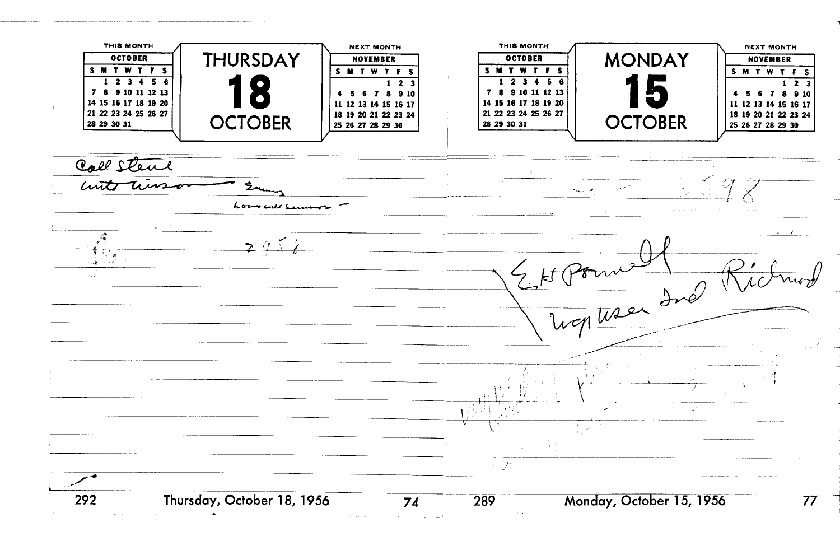**1 11 11 11 11 11 11 11 11 11 11 11 11 11 11 11 11 11 11 11 11 11 11 11 11 11 11 11 11 11 11 11 THIS MONTH Tnls MONTH**  \ **NEXT MONTH BUDER 1 MONDAY THURSDAY** IF NOVEMBER **OCTOBER NOVEMBER SMTWTFS SMTWTFS 123456**   $1 2 3 4 5 6$  $1\overline{2}3$  $1\overline{2}3$ 7 8 9 10 11 12 13 **45678910**  7 8 9 10 11 12 13 4 5 6 7 8 9 10 14 15 16 17 18 19 20 **11 12 13 14 15 16 17**  14 15 16 17 18 19 20 11 12 13 14 15 16 17 21 22 23 24 25 26 27 18 19 20 21 22 23 24 21 22 23 24 25 26 27 18 19 20 21 22 23 24 **OCTOBER OCTOBER** 28 29 30 31 25 26 27 28 29 30 28 29 30 31 25 26 27 28 29 30 Call Stene witter Sam  $\sigma_{max,1}$  ,  $\sigma_{max}$ Lous cult service  $\mathcal{P}$  $2952$  $\mathbf{1}_{\mathbf{1}^{\prime}\mathbf{2}^{\prime}\mathbf{A}}$ HPomell R بالمستوقي k. **Thursday, October 18, 1956 289 Monday, OctobeT5,1956** - 292 77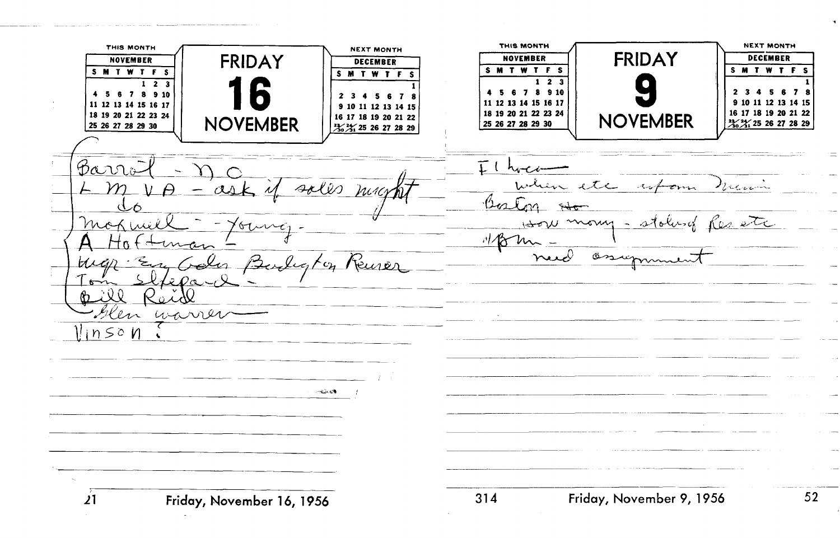**tnls MONTH NEXT MONTH THIS MONTH** NOVEMBER **FRIDAY** NEXT MONTH **FRIDAY DECEMBER NOVEMBER NOVEMBER**  DECEMBER **SMTWTFS SMTWTFS SMTWTF SMTWTFS**   $1 \t2 \t3$  $1\overline{2}$   $3$ **4 5 6 7 8 910 2345678**  4 5 6 7 8 9 10 **2345678**  FiD{ **11 12 13 14 15 16 17 9 10 11 12 13 14 IS**  11 12 13 14 15 16 17 **9 10 11 12 13 14 15 18 19 20 21 22 23 24 16 17 18 19 20 21 22**  18 19 20 21 22 23 24 **25 26 27 28 29 30** 1) **NOVEMBER** <sup>I</sup> **NOVEMBER** 3% 3% 25 26 27 28 29 25 26 27 28 29 30 3% 3% 25 26 27 28 29 Barr  $I$   $h$  $\rho_{i\ldots}$ when etc whom mony - stolused Res etc Mor  $M_{\odot}$ osin John Burley Keurer  $R_{\rm D}$   $\rightarrow$  0  $\sigma \mathcal{A}$ Hen warrer llin so n  $\ddot{\phantom{a}}$  $\sim 2.5 \pm 0.3$ - 31 **4 Friday, November 9, 1956** 52  $21$ **Friday, Movem ber 1 6, 1956**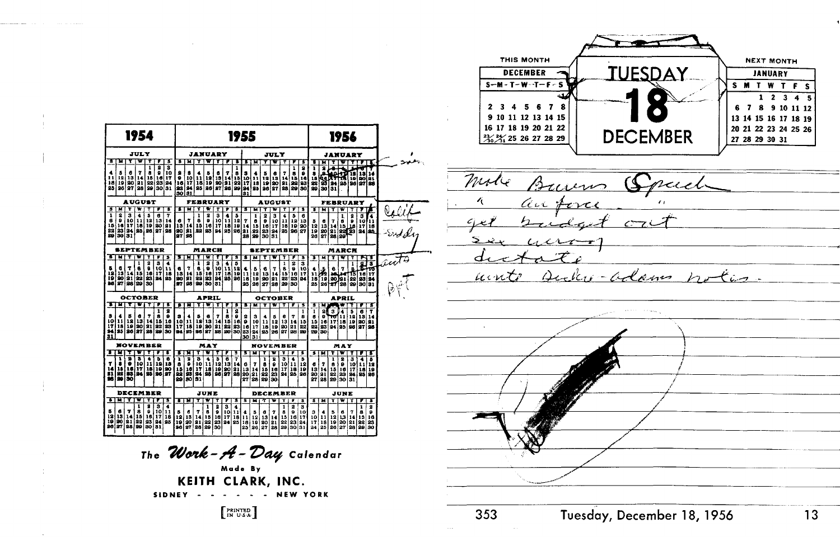

|                            |                                                   |                                                                                    | 1954                                                                             |                                 |                                                           |                                                                  |                            |                              |                                               |                                                                                                                                 |                                                                                                                          |                                  |                      | 1955                                                                                  |                                                                                                                      |                                                                                                                                                                             |                                                                          |                                     |                                     |                            |                                 |                                                                  |                                 | 1956                                                                                                                                                                                                                                                                                  |                                          |                               |                                                                                                                                                                                                                                                                           |        |
|----------------------------|---------------------------------------------------|------------------------------------------------------------------------------------|----------------------------------------------------------------------------------|---------------------------------|-----------------------------------------------------------|------------------------------------------------------------------|----------------------------|------------------------------|-----------------------------------------------|---------------------------------------------------------------------------------------------------------------------------------|--------------------------------------------------------------------------------------------------------------------------|----------------------------------|----------------------|---------------------------------------------------------------------------------------|----------------------------------------------------------------------------------------------------------------------|-----------------------------------------------------------------------------------------------------------------------------------------------------------------------------|--------------------------------------------------------------------------|-------------------------------------|-------------------------------------|----------------------------|---------------------------------|------------------------------------------------------------------|---------------------------------|---------------------------------------------------------------------------------------------------------------------------------------------------------------------------------------------------------------------------------------------------------------------------------------|------------------------------------------|-------------------------------|---------------------------------------------------------------------------------------------------------------------------------------------------------------------------------------------------------------------------------------------------------------------------|--------|
|                            |                                                   |                                                                                    | <b>JULY</b>                                                                      |                                 |                                                           |                                                                  |                            |                              |                                               | JANUARY                                                                                                                         |                                                                                                                          |                                  |                      |                                                                                       |                                                                                                                      |                                                                                                                                                                             | <b>JULY</b>                                                              |                                     |                                     |                            |                                 | JANUARY                                                          |                                 |                                                                                                                                                                                                                                                                                       |                                          |                               |                                                                                                                                                                                                                                                                           |        |
| 8                          | и                                                 |                                                                                    |                                                                                  | ı                               | г                                                         | з<br>3                                                           | 8                          | м                            | т                                             |                                                                                                                                 |                                                                                                                          |                                  | т<br>ı               | т                                                                                     | N                                                                                                                    | Ŧ                                                                                                                                                                           |                                                                          | Ŧ                                   |                                     | s                          | т                               | м                                                                |                                 |                                                                                                                                                                                                                                                                                       |                                          |                               | π                                                                                                                                                                                                                                                                         |        |
| 4<br>11<br>18<br>25        | 5                                                 | a<br>12 13 14<br>19 20 21<br>26 27 28                                              | 7                                                                                | 8<br>$\frac{15}{22}$            | 3                                                         | 10<br>16 17<br>23 24<br>30 31                                    | 2<br>$\frac{16}{30}$       | 8<br>10<br>17<br>94<br>181   | 4                                             | в<br> 11   12   13   14<br>  18   19   20   21<br>  25   36   37   38                                                           | ٥                                                                                                                        | 7                                | 8                    | 3<br>$\begin{array}{ c c }\n\hline\n18 & 10 \\ 22 & 17 \\ 39 & 24\n\end{array}$<br>31 | 4                                                                                                                    | Б<br>$\begin{array}{c c c c c} \textbf{11} & \textbf{12} & \textbf{13} \\ \textbf{18} & \textbf{19} & \textbf{10} \\ \textbf{95} & \textbf{26} & \textbf{1} \\ \end{array}$ | 6<br>  13<br>  30<br>  37                                                | 7<br>14<br>31<br>128                | ı<br>8<br>15<br>28<br>29            | s<br>٠<br>10<br>53<br>50   | ı<br>8<br>$\frac{15}{35}$       | s                                                                |                                 |                                                                                                                                                                                                                                                                                       |                                          |                               | Τ<br>$\begin{array}{l l l} \hline {\bf 8} & {\bf 90} & {\bf 17} & {\bf 18} & {\bf 18} & {\bf 19} \\ \hline 68 & {\bf 17} & {\bf 18} & {\bf 19} & {\bf 20} & {\bf 81} \\ \hline 93 & {\bf 84} & {\bf 35} & {\bf 36} & {\bf 37} & {\bf 88} \\ \hline 30 & 31 & \end{array}$ |        |
|                            |                                                   | <b>AUGUST</b>                                                                      |                                                                                  |                                 |                                                           |                                                                  |                            |                              |                                               | FEBRUARY                                                                                                                        |                                                                                                                          |                                  |                      |                                                                                       |                                                                                                                      |                                                                                                                                                                             | <b>AUGUST</b>                                                            |                                     |                                     |                            |                                 |                                                                  |                                 | <b>FEBRUARY</b>                                                                                                                                                                                                                                                                       |                                          |                               |                                                                                                                                                                                                                                                                           |        |
| з                          | М                                                 | т                                                                                  | W                                                                                |                                 |                                                           | s                                                                | s                          | м                            | т                                             | w                                                                                                                               | т                                                                                                                        | ,                                | s                    | т                                                                                     | м                                                                                                                    |                                                                                                                                                                             |                                                                          |                                     | Ŧ                                   | т                          | т                               | м                                                                |                                 | w                                                                                                                                                                                                                                                                                     |                                          |                               |                                                                                                                                                                                                                                                                           |        |
| ı<br>8<br>15<br>22<br>29   | 2<br>9                                            | з<br>10<br>16 17<br>23 24<br>30 31                                                 | 4<br>   11    12<br>   18    19                                                  | 5                               | 6<br>13<br>20                                             | 7<br>14<br>21<br>35 26 37 38                                     | 6<br>13<br>20 81           | 7<br>14<br>81                | ı<br>8<br>15<br>33                            | 2<br>9<br>16<br>83                                                                                                              | 3<br>$\begin{array}{ c c c }\n\hline\n10 & 11 & 12 \\ 17 & 18 & 19 \\ \hline\n94 & 25 & 26\n\end{array}$                 | 4                                | 5                    | $\frac{7}{14}$<br>lai<br>28                                                           | 1<br>$\frac{8}{15}$<br>22<br>29                                                                                      | 2<br>9<br>16<br>30 31                                                                                                                                                       | 3<br>10<br> i7<br>23 24 25 26 27                                         | 4<br>11<br>18                       | 5<br>12 13                          | 6                          | $\frac{5}{12}$<br>26            |                                                                  |                                 | $\begin{array}{ c c c c }\hline \texttt{c} & 7 & \hat{\texttt{c}} & \hat{\texttt{o}}\\ \texttt{13} & \texttt{14} & \texttt{15} & \texttt{16} \\ \texttt{20} & \texttt{21} & \texttt{22} & \texttt{23} \\ \texttt{27} & \texttt{28} & \texttt{20} & \texttt{20} \\ \hline \end{array}$ | 2                                        | 3                             | 4<br>10111<br>17 16<br>24 35                                                                                                                                                                                                                                              | Collif |
|                            |                                                   | SEPTEMBER                                                                          |                                                                                  |                                 |                                                           |                                                                  |                            |                              |                                               | MARCH                                                                                                                           |                                                                                                                          |                                  |                      |                                                                                       | <b>SEPTEMBER</b>                                                                                                     |                                                                                                                                                                             |                                                                          |                                     |                                     |                            |                                 |                                                                  |                                 | MARCH                                                                                                                                                                                                                                                                                 |                                          |                               |                                                                                                                                                                                                                                                                           |        |
| т                          | и                                                 | т                                                                                  |                                                                                  |                                 |                                                           | s                                                                | τ                          | x                            |                                               | w                                                                                                                               |                                                                                                                          |                                  | 3                    | з                                                                                     | м                                                                                                                    | ۳                                                                                                                                                                           |                                                                          | Ŧ                                   | F                                   | Ъ                          | Ŧ                               | м                                                                |                                 |                                                                                                                                                                                                                                                                                       |                                          |                               | r i                                                                                                                                                                                                                                                                       |        |
| Б<br>12<br>$\frac{19}{26}$ | a<br>13                                           | 7<br>$\mathbf{1}$<br>90 31 32                                                      | 1<br>6<br>15                                                                     | 20<br>16                        | 3<br>١a<br>17                                             | 4<br>11<br>18<br>$\frac{23}{30}$ $\frac{24}{30}$ $\frac{25}{30}$ | 6<br>$\frac{13}{90}$<br>27 | 7<br>14<br>m                 | ı<br>s<br>15<br>99<br>48 99                   | 2<br>9<br>$\begin{array}{ c c c }\n\hline\n0 & 10 & 11 \\ 10 & 17 & 18 \\ 23 & 24 & 25 \\ 30 & 31 & & \\\hline\n\end{array}$    | 3                                                                                                                        | 4                                | 5<br>$\frac{12}{19}$ | $\begin{array}{c} \bullet \\ 11 \\ 16 \end{array}$<br>25                              | $\begin{smallmatrix}5\\1&2\\1&9\end{smallmatrix}$<br>26                                                              | 6<br>27 28                                                                                                                                                                  | 7<br>13 14<br>20 21                                                      | $\mathbf{1}$<br>8<br>15<br>32<br>29 | z<br>9<br>16<br>23<br>iso           | 3<br>10<br>$\frac{17}{04}$ | 25                              | $\frac{1}{18}$ $\frac{1}{16}$                                    | 6                               | 7                                                                                                                                                                                                                                                                                     | 8                                        | ł                             | 3<br>-16<br>22 38 38 38 38 39 39 30 31 32 33 34                                                                                                                                                                                                                           |        |
|                            |                                                   | OCTOBER                                                                            |                                                                                  |                                 |                                                           |                                                                  |                            |                              |                                               | <b>APRIL</b>                                                                                                                    |                                                                                                                          |                                  |                      |                                                                                       |                                                                                                                      |                                                                                                                                                                             | <b>OCTOBER</b>                                                           |                                     |                                     |                            |                                 |                                                                  |                                 | <b>APRIL</b>                                                                                                                                                                                                                                                                          |                                          |                               |                                                                                                                                                                                                                                                                           |        |
| т                          | и                                                 |                                                                                    |                                                                                  | Ŧ                               |                                                           | т                                                                | ٠                          | т                            | Ŧ                                             |                                                                                                                                 |                                                                                                                          |                                  | 3                    | s                                                                                     | М                                                                                                                    | T                                                                                                                                                                           | ₩                                                                        |                                     |                                     | Б                          | τ                               | м                                                                |                                 |                                                                                                                                                                                                                                                                                       |                                          |                               | z                                                                                                                                                                                                                                                                         |        |
| 31                         | $\frac{3}{10}$ $\frac{4}{11}$<br>17 18<br>34   25 | $\frac{5}{18}$<br>īš                                                               | $\begin{array}{ c c }\n 0 & 7 \\  13 & 14\n \end{array}$<br>30 31<br>36 37 38 39 |                                 | 1<br>$\frac{3}{10}$                                       | 2<br>$\frac{1}{23}$<br>30                                        | $\frac{3}{10}$             | 4<br>11<br>17 18<br>94 85 96 | $\begin{bmatrix} 5 \\ 13 \\ 19 \end{bmatrix}$ | $\begin{array}{ c c c c c }\n\hline\n6 & 7 & 8 & 0 \\ 13 & 14 & 15 & 16 \\ 20 & 21 & 22 & 23 \\ 27 & 28 & 20 & 30\n\end{array}$ |                                                                                                                          | 1                                | 2<br>$\frac{0}{23}$  | $\begin{array}{c} 2 \\ 0 \\ 16 \end{array}$<br>23<br>30                               | $\frac{3}{10}$<br>24<br>31                                                                                           | 25 26                                                                                                                                                                       | 5<br>$\begin{array}{ c c }\n 11 & 12 \\  \hline\n 18 & 19\n \end{array}$ | $\frac{6}{20}$<br>27                | 7<br>14<br> 21<br>las               | 1<br>$\frac{8}{22}$<br>29  | 1<br>8<br>$\frac{15}{22}$<br>29 | g<br>9<br>30                                                     | $\overline{\mathbf{3}}$<br>w    | 11<br>$\begin{array}{ c c c }\n\hline\n16 & 17 & 18 \\ 23 & 24 & 25\n\end{array}$                                                                                                                                                                                                     | Б<br>18<br>19<br>86 37 36                | 6<br>13<br>20                 | Ŧ<br>14<br>21                                                                                                                                                                                                                                                             |        |
|                            |                                                   | NOVEMBER                                                                           |                                                                                  |                                 |                                                           |                                                                  |                            |                              |                                               | MAY                                                                                                                             |                                                                                                                          |                                  |                      |                                                                                       |                                                                                                                      |                                                                                                                                                                             | NOVEMBER                                                                 |                                     |                                     |                            |                                 |                                                                  |                                 | MAY                                                                                                                                                                                                                                                                                   |                                          |                               |                                                                                                                                                                                                                                                                           |        |
| з                          |                                                   |                                                                                    |                                                                                  |                                 |                                                           | s                                                                | т                          | и                            |                                               |                                                                                                                                 |                                                                                                                          |                                  | т                    | т                                                                                     |                                                                                                                      |                                                                                                                                                                             |                                                                          |                                     |                                     | 3                          | s                               | и                                                                | T                               |                                                                                                                                                                                                                                                                                       |                                          |                               |                                                                                                                                                                                                                                                                           |        |
| 7<br>14<br>翦               | 1<br>8<br>15<br>32<br>29                          | 2<br>l 30                                                                          | s                                                                                |                                 | ъ                                                         | $\frac{6}{13}$                                                   | ï<br>- 18話                 | 2<br>٠<br>383                | 3<br>$\frac{10}{17}$<br>94<br>i 31            |                                                                                                                                 | $\begin{array}{c c c c c} \hline 4 & 5 & 6 \\ 11 & 12 & 13 \\ 10 & 19 & 80 \\ \hline 95 & 96 & 97 \\ \hline \end{array}$ |                                  | Ŧ<br>14              | 6                                                                                     | 7<br>$\begin{array}{ c c c }\n\hline\n2 & 1 & 1 & 1 \\ 2 & 2 & 2 & 1 \\ \hline\n2 & 2 & 2 & 1\n\end{array}$<br>27 28 | ı<br>8<br>$\frac{15}{22}$<br>29                                                                                                                                             | 2<br>٥<br>16<br>23 24 25 26<br>30                                        | 3<br>10<br>17                       | 11<br>18                            | 5<br>12<br>19              | 27                              | $\begin{array}{c} 6 & 7 \\ 13 & 14 \\ 20 & 91 \end{array}$<br>28 | ı<br>$\frac{8}{15}$<br>22<br>29 | 2<br>9<br>16<br>23<br>30131                                                                                                                                                                                                                                                           | 3<br>10 <sup>1</sup><br>l īž<br>24,25 26 | 4<br>$\bar{\mathbf{u}}$<br>īš | Ŧ<br>12<br>19                                                                                                                                                                                                                                                             |        |
|                            |                                                   | DECEMBER                                                                           |                                                                                  |                                 |                                                           |                                                                  |                            |                              |                                               | JUNE                                                                                                                            |                                                                                                                          |                                  |                      |                                                                                       |                                                                                                                      |                                                                                                                                                                             | <b>DECEMBER</b>                                                          |                                     |                                     |                            |                                 |                                                                  |                                 | JUNE                                                                                                                                                                                                                                                                                  |                                          |                               |                                                                                                                                                                                                                                                                           |        |
| т                          | м                                                 |                                                                                    |                                                                                  |                                 |                                                           | s                                                                | П                          | T.                           |                                               |                                                                                                                                 |                                                                                                                          |                                  | 3                    | s                                                                                     |                                                                                                                      | Ŧ                                                                                                                                                                           |                                                                          |                                     |                                     | з                          | s                               | м                                                                | τ.                              | ₩                                                                                                                                                                                                                                                                                     | Ŧ                                        |                               | т                                                                                                                                                                                                                                                                         |        |
| 20                         | 27 28                                             | $\begin{array}{c c c c c c} 5 & 6 & 7 \\ 12 & 13 & 14 \\ 19 & 20 & 21 \end{array}$ | ı<br>$\frac{8}{15}$<br>29                                                        | 8<br>٥<br>$\frac{16}{23}$<br>30 | 3<br>10<br>$\begin{bmatrix} 17 \\ 24 \end{bmatrix}$<br>51 | T<br>11<br>18<br>25                                              | 5<br>12<br>19<br>š6        | 6<br>$\frac{13}{90}$         | 7<br>$\overline{14}$<br>21<br>28              | 1<br>ē<br>15<br>$\frac{22}{29}$                                                                                                 | 8<br>l Iel I7<br>30                                                                                                      | $\overline{\mathbf{e}}$<br>23 24 | $\frac{4}{11}$<br>25 | $\frac{4}{11}$<br>18<br>25                                                            | $\frac{5}{12}$<br>19<br>26 <sub>1</sub>                                                                              | 6<br>$\frac{13}{80}$<br>27                                                                                                                                                  | 7<br>14<br>21<br>28                                                      | 1<br>8<br>15<br>22<br>29            | $\mathbf{z}$<br>9<br>16<br>23<br>30 | s<br>10<br>17<br>24<br>31  | 3<br>10<br>17<br>24             | 4<br>11<br>18<br>25                                              | 5<br>12<br>19<br>26.            | 6<br>$\begin{array}{ c c c }\n\hline\n13 & 14 & 15 \\ 20 & 21 & 22 \\ 27 & 28 & 29\n\end{array}$                                                                                                                                                                                      | 7                                        | ı<br>8                        | 2<br>9<br>16<br>23<br>30                                                                                                                                                                                                                                                  |        |
|                            |                                                   |                                                                                    |                                                                                  |                                 |                                                           |                                                                  | ,,                         |                              |                                               |                                                                                                                                 |                                                                                                                          |                                  |                      |                                                                                       |                                                                                                                      |                                                                                                                                                                             |                                                                          |                                     |                                     |                            |                                 |                                                                  |                                 |                                                                                                                                                                                                                                                                                       |                                          |                               |                                                                                                                                                                                                                                                                           |        |

The Work- $A$ - Day Calendar Made By KEITH CLARK, INC. SIDNEY - -. . . NEW YORK

 $\left[$  PRINTED<br>IN U.S.A.

Mode Burns Speech an torce Audio-adams notes. unto

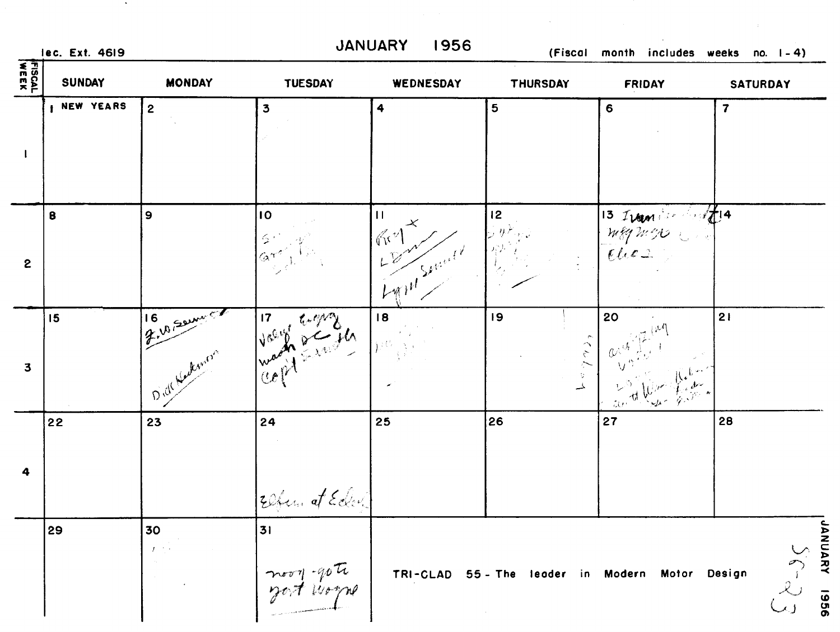lec. Ext. 4619

 $\sim 100$ 

JANUARY 1956

(Fiscal month includes weeks no. 1-4)

| <b>FISCAL</b><br>WEEK | <b>SUNDAY</b>      | <b>MONDAY</b>  | <b>TUESDAY</b>                 | WEDNESDAY                           | <b>THURSDAY</b>                   | <b>FRIDAY</b>                                   | <b>SATURDAY</b>                                                                        |
|-----------------------|--------------------|----------------|--------------------------------|-------------------------------------|-----------------------------------|-------------------------------------------------|----------------------------------------------------------------------------------------|
| $\mathbf{I}$          | <b>I NEW YEARS</b> | $\overline{2}$ | $\overline{\mathbf{3}}$        | 4                                   | 5                                 | 6                                               | $\overline{\mathbf{z}}$                                                                |
| $\mathbf{2}$          | $\pmb{8}$          | 9              | 10                             | $\mathbf{H}$<br>Reynold Spring      | 12<br>$\theta^{\mathcal{F}}$ is a | $\frac{13}{100}$                                |                                                                                        |
| $\mathbf{3}$          | 15                 | Bill Reserved  | Valy Employ                    | 18<br>$\mathcal{V}^{\mathcal{G}}$ y | 19<br>$\frac{1}{2}$               | 20                                              | 21                                                                                     |
| 4                     | 22                 | 23             | 24<br>Elfen at Eding           | 25                                  | 26                                | 27                                              | 28                                                                                     |
|                       | 29                 | 30             | 31<br>noon-gote<br>goot voorne |                                     |                                   | TRI-CLAD 55 - The leader in Modern Motor Design | <b>JANUARY 1956</b><br>$\begin{array}{c}\n\zeta & \zeta \\ \zeta & \zeta\n\end{array}$ |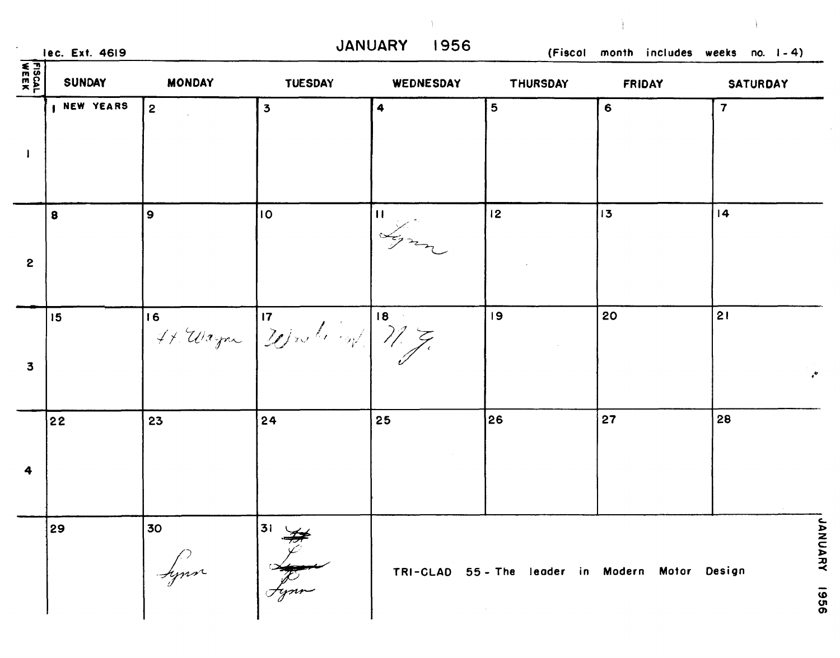| <b>FISCAL</b>           | <b>SUNDAY</b> | <b>MONDAY</b> | <b>TUESDAY</b>                | WEDNESDAY                | THURSDAY                                      | <b>FRIDAY</b> | <b>SATURDAY</b>         |
|-------------------------|---------------|---------------|-------------------------------|--------------------------|-----------------------------------------------|---------------|-------------------------|
|                         | I NEW YEARS   | $\mathbf{2}$  | $\overline{\mathbf{3}}$       | 4                        | 5                                             | 6             | $\overline{\mathbf{7}}$ |
| $\mathbf 2$             | 8             | 9             | 10                            | $\vert \mathbf{0} \vert$ | 12                                            | 13            | 4                       |
| $\overline{\mathbf{3}}$ | 15            |               | 16 44. Wagner 20 mile 19/ 7/7 |                          | 19                                            | 20            | 21                      |
| 4                       | 22            | 23            | 24                            | 25                       | 26                                            | 27            | 28                      |
|                         | 29            | 30 <br>Lynn   | 31 V                          |                          | TRI-CLAD 55-The leader in Modern Motor Design |               |                         |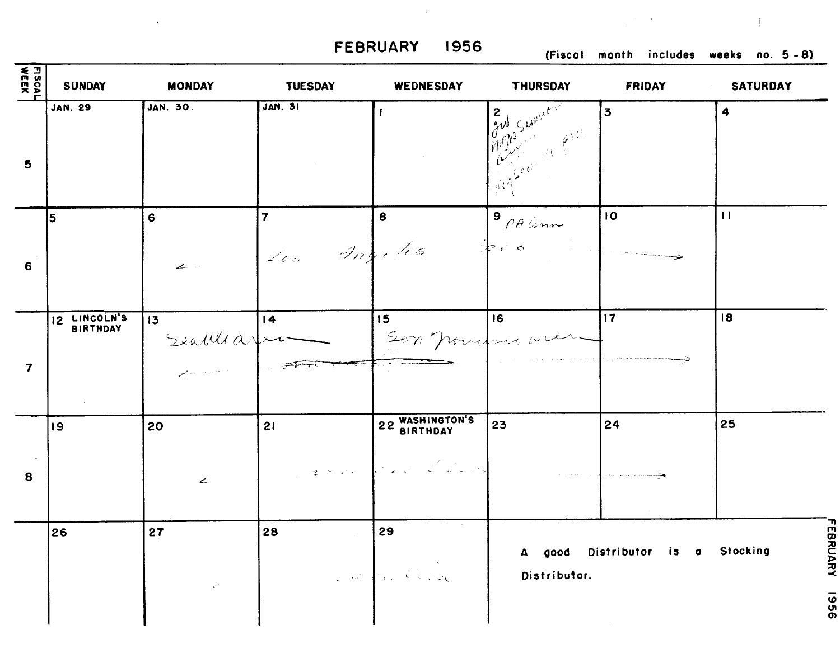**FEBRUARY 1956 (Fiscol month includes weeks no. 5 -8)** 

 $\epsilon$ 

| FISCAL<br>WEEK          | <b>SUNDAY</b>                   | <b>MONDAY</b>     | <b>TUESDAY</b>                | WEDNESDAY                                              | <b>THURSDAY</b>                                                                  | <b>FRIDAY</b>             | <b>SATURDAY</b>     |
|-------------------------|---------------------------------|-------------------|-------------------------------|--------------------------------------------------------|----------------------------------------------------------------------------------|---------------------------|---------------------|
| $5\phantom{.0}$         | <b>JAN. 29</b>                  | <b>JAN. 30.</b>   | <b>JAN. 31</b>                |                                                        | and Sumer<br>$\begin{pmatrix} 1 & 1 & 1 \\ 1 & 1 & 1 \\ 1 & 1 & 1 \end{pmatrix}$ | 3                         | $\ddot{\mathbf{4}}$ |
| 6                       | ا 5                             | 6<br>ال استعما    | $\overline{7}$<br>Les Angeles | $\bullet$                                              | $9$ PA Grow<br>$\downarrow$ . $\circ$                                            | 10                        | $\overline{11}$     |
| $\overline{\mathbf{7}}$ | 12 LINCOLN'S<br><b>BIRTHDAY</b> | 13<br>$rac{1}{2}$ | 4                             | 15 <sub>1</sub><br>Sep pour une<br>للمحادث والمستعادات | 16                                                                               | $ 17\rangle$              | 18                  |
| $\bf{8}$                | 19                              | 20<br>ے           | 21                            | 22 WASHINGTON'S<br>2 Sec. Con Count                    | 23                                                                               | 24                        | 25                  |
|                         | 26                              | 27                | 28                            | 29<br>a de la Carre                                    | A good<br>Distributor.                                                           | Distributor is a Stocking | FEBRUARY<br>926     |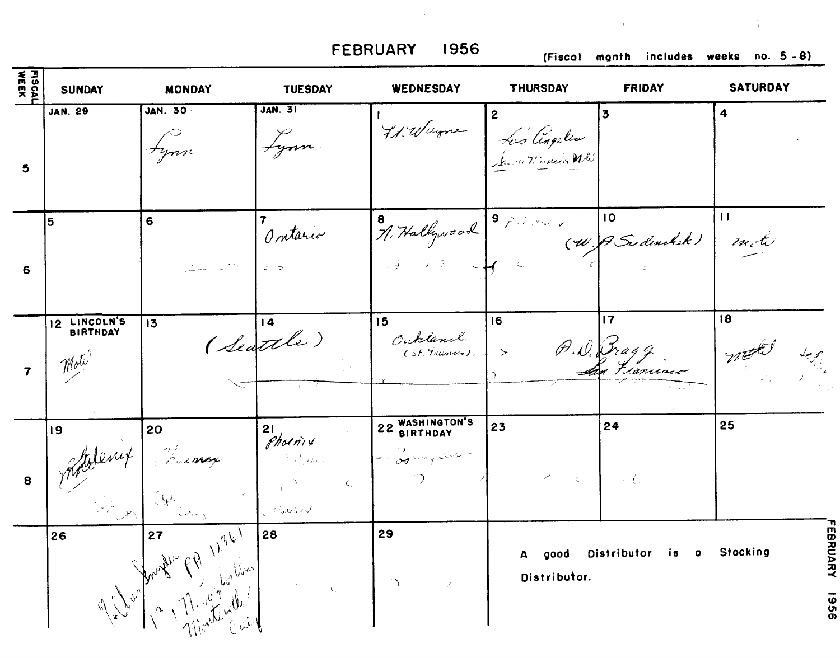**FEBRUARY 1956 (Fiscol month includes weeks no. 5 -8)** 

 $\mathbf{1}$ 

÷.

| 도 1<br>4002<br>2002     | <b>SUNDAY</b>        | <b>MONDAY</b>          | <b>TUESDAY</b>                                                                                                                                                                                                                                                                                                                                                                                                                 | WEDNESDAY                                                 | <b>THURSDAY</b>                                              | <b>FRIDAY</b>               | <b>SATURDAY</b>                   |
|-------------------------|----------------------|------------------------|--------------------------------------------------------------------------------------------------------------------------------------------------------------------------------------------------------------------------------------------------------------------------------------------------------------------------------------------------------------------------------------------------------------------------------|-----------------------------------------------------------|--------------------------------------------------------------|-----------------------------|-----------------------------------|
| 5                       | <b>JAN. 29</b>       | <b>JAN. 30</b>         | <b>JAN. 31</b><br>Lynn                                                                                                                                                                                                                                                                                                                                                                                                         |                                                           | Ist. Wayne Les Cingelis                                      |                             | 4                                 |
| 6                       | 5                    | 6                      | Ontario                                                                                                                                                                                                                                                                                                                                                                                                                        | 9, Hallywood 9, 18 min (4) P. Sudankik) m. t.             |                                                              |                             |                                   |
| $\overline{\mathbf{z}}$ | 12 LINCOLN'S<br>Moli | 13                     | (Seattle)                                                                                                                                                                                                                                                                                                                                                                                                                      | 15<br>Oukland<br>(St. Manus)                              | 16<br>$\sim$ $>$                                             | 17<br>A.D. Pragg            | 18                                |
| 8                       | 19                   | Molenix Manage Phoenix | $\begin{array}{c} \begin{array}{c} \begin{array}{c} \end{array} \\ \begin{array}{c} \end{array} \end{array} \end{array}$                                                                                                                                                                                                                                                                                                       | 22 WASHINGTON'S<br>$[-\log \omega_{\gamma} \omega -$      | 23<br>$\mathcal{L}^{\mathcal{L}}(\mathbb{C}^n,\mathbb{C}^n)$ | 24                          | 25                                |
|                         | 26                   | Angli CA 1236          | $\label{eq:2} \frac{1}{2} \int_{\mathbb{R}^3} \left  \frac{d\mathbf{x}}{d\mathbf{x}} \right  \, d\mathbf{x} \, d\mathbf{x} \, d\mathbf{x} \, d\mathbf{x} \, d\mathbf{x} \, d\mathbf{x} \, d\mathbf{x} \, d\mathbf{x} \, d\mathbf{x} \, d\mathbf{x} \, d\mathbf{x} \, d\mathbf{x} \, d\mathbf{x} \, d\mathbf{x} \, d\mathbf{x} \, d\mathbf{x} \, d\mathbf{x} \, d\mathbf{x} \, d\mathbf{x} \, d\mathbf{x} \, d\mathbf{x} \, d\$ | 29<br>$\left\langle \cdot \right\rangle$<br>$\mathscr{S}$ | good<br>Distributor.                                         | Distributor is<br>$\bullet$ | EBRUARY<br><b>Stocking</b><br>926 |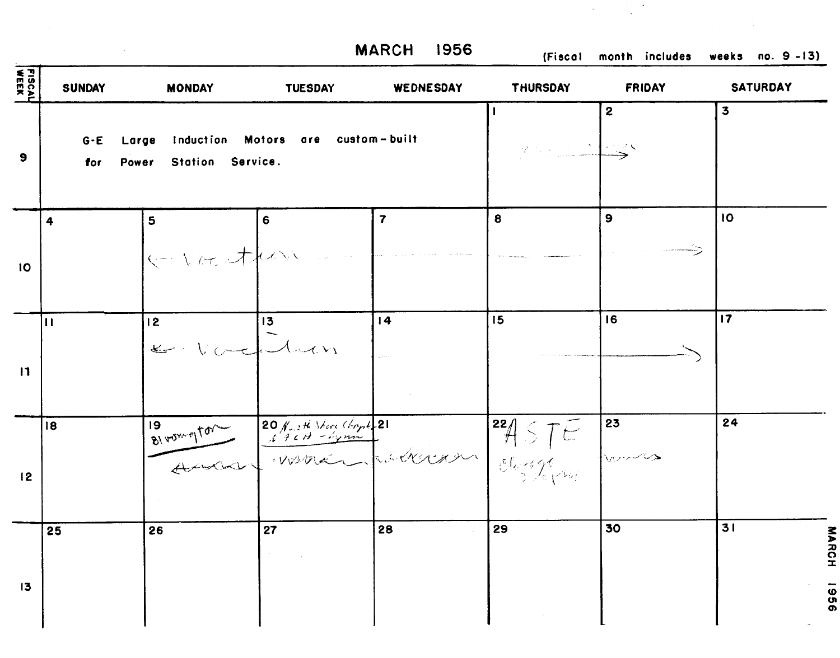$\mathcal{L}^{\text{max}}_{\text{max}}$ 

**MARCH** 1956 (Fiscal month includes weeks no. 9 -13)

 $\frac{1}{2} \frac{1}{2} \frac{1}{2} \frac{1}{2}$ 

 $\sim 10^7$ 

| FISCAL<br>WEEK | <b>SUNDAY</b>  | <b>MONDAY</b>                      | <b>TUESDAY</b>                                                                                 | WEDNESDAY               | <b>THURSDAY</b> | <b>FRIDAY</b> | <b>SATURDAY</b>     |
|----------------|----------------|------------------------------------|------------------------------------------------------------------------------------------------|-------------------------|-----------------|---------------|---------------------|
| $\bullet$      | $G - E$<br>for | Large<br>Station Service.<br>Power | Induction Motors are custom-built                                                              |                         | 2003 - NEWS     | $\mathbf{2}$  | $\mathbf{3}$        |
| 10             | $\ddot{4}$     | 5<br>k-vocation                    | 6                                                                                              | $\overline{\mathbf{7}}$ | 8               | $\bullet$     | <b>IO</b>           |
| $\mathbf{11}$  | $\mathbf{H}$   | 12 <sup>2</sup><br>E. Vocalian     | 13                                                                                             | 14                      | 15              | 16            | 17                  |
| 12             | 18             |                                    | 19 vou et de la 190 franchister Chapter 21<br>Avenue 170 - 29 mil 21<br>Avenue 170 - 29 mil 21 |                         |                 |               | 24                  |
| 13             | 25             | 26                                 | 27                                                                                             | 28                      | 29              | 30            | 31<br>MARCH<br>9961 |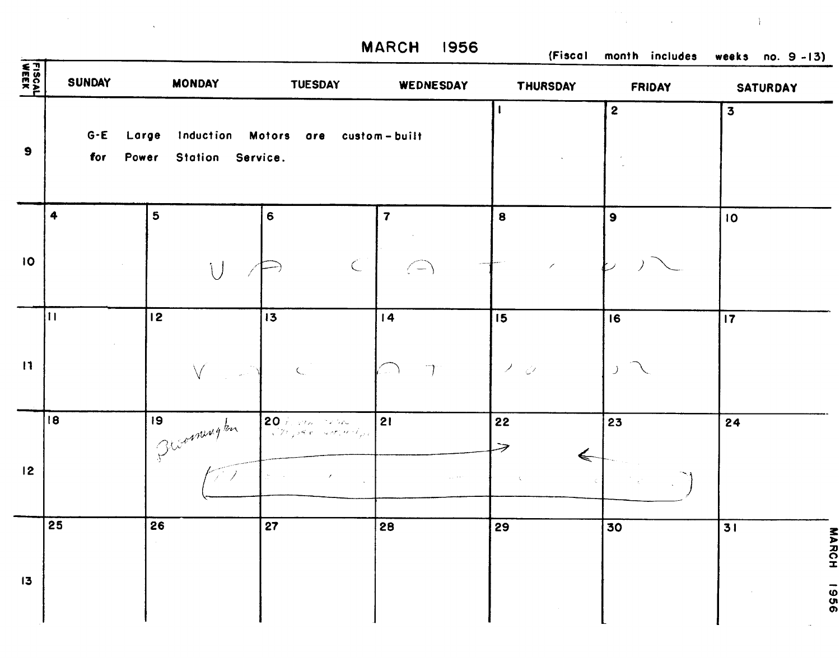|                  |                          |                                    |                                                                         | <b>MARCH</b><br>1956                           | (Fiscal                               | month includes      | weeks no. $9 - 13$ )             |
|------------------|--------------------------|------------------------------------|-------------------------------------------------------------------------|------------------------------------------------|---------------------------------------|---------------------|----------------------------------|
| FISCAL<br>FISCAL | <b>SUNDAY</b>            | <b>MONDAY</b>                      | <b>TUESDAY</b>                                                          | WEDNESDAY                                      | <b>THURSDAY</b>                       | <b>FRIDAY</b>       | <b>SATURDAY</b>                  |
| 9                | $G - E$<br>for           | Large<br>Station Service.<br>Power | Induction Motors are custom-built                                       |                                                |                                       | $\mathbf{2}$        | $\overline{\mathbf{3}}$          |
| 10               | $\ddot{\bullet}$         | 5<br>$\overline{1}$                | 6<br>$\subset$                                                          | $\overline{\mathbf{z}}$<br>$\langle - \rangle$ | 8                                     | $\mathbf{9}$        | 10                               |
| $\mathbf{H}$     | $\vert \mathbf{1} \vert$ | 2                                  | 13<br>$\subset$                                                         | 14<br>$\overline{\phantom{a}}$<br>$\omega$ .   | 15<br>Δ.<br>$\mathbb{Z}^{\mathbb{Z}}$ | 16<br>$\mathcal{F}$ | 17                               |
| 12               | 18                       | 9 <br>1 Bloomington                | 20 February 2016<br>$\sqrt{2}$ , see a second or $\mathcal{I}_{\mu\nu}$ | 21                                             | 22<br>$\Leftarrow$<br>$\mathcal{R}$   | 23                  | 24                               |
| 13               | 25                       | 26                                 | $\overline{27}$                                                         | 28                                             | 29                                    | 30                  | $\overline{31}$<br>MARCH<br>9561 |

I

L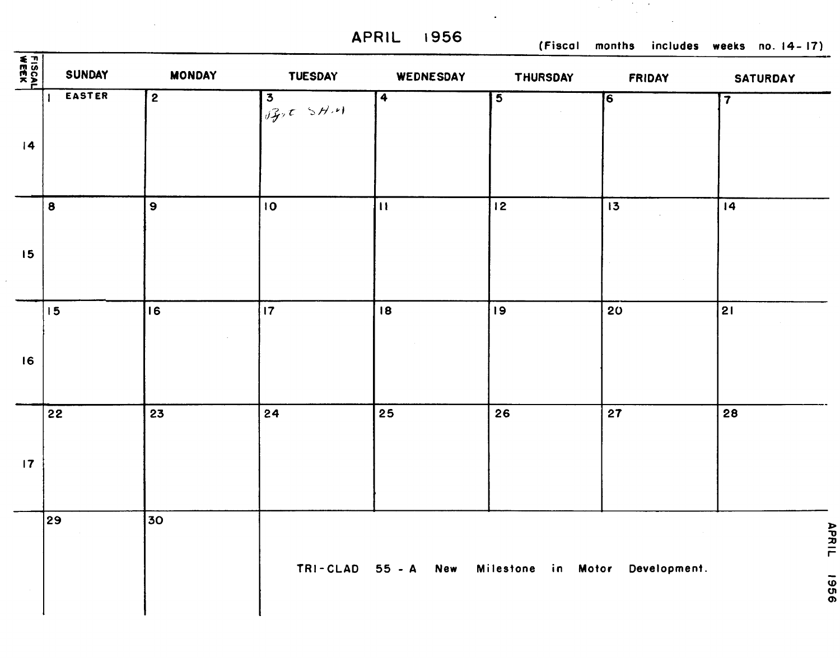**APRIL 1956 (Fiscal months includes weeks no. 14- 17)** 

 $\sim$  $\cdot$ 

 $\mathcal{A}^{\mathcal{A}}$ 

| FISCAL<br><b>WEEK</b> | SUNDAY    | <b>MONDAY</b>   | <b>TUESDAY</b>         | WEDNESDAY    | <b>THURSDAY</b>                 | FRIDAY | <b>SATURDAY</b>         |
|-----------------------|-----------|-----------------|------------------------|--------------|---------------------------------|--------|-------------------------|
|                       | EASTER    | $\overline{2}$  | $3$<br>$i \frac{2}{3}$ | $\boxed{4}$  | $\overline{5}$                  | 6]     | $\overline{\mathbf{7}}$ |
| 4                     |           |                 |                        |              |                                 |        |                         |
|                       |           |                 |                        |              |                                 |        |                         |
|                       | $\pmb{8}$ | $\mathbf 9$     | 10                     | $\mathbf{H}$ | 12                              | 13     | 4                       |
| 15                    |           |                 |                        |              |                                 |        |                         |
|                       |           |                 |                        |              |                                 |        |                         |
|                       | 15        | 16              | $\overline{17}$        | 18           | 19                              | 20     | 21                      |
| 16                    |           |                 |                        |              |                                 |        |                         |
|                       |           |                 |                        |              |                                 |        |                         |
|                       | 22        | 23              | 24                     | 25           | 26                              | 27     | 28                      |
| 17                    |           |                 |                        |              |                                 |        |                         |
|                       |           |                 |                        |              |                                 |        |                         |
|                       | 29        | 30 <sub>o</sub> |                        |              |                                 |        | <b>APRIL</b>            |
|                       |           |                 | TRI-CLAD 55 - A        | <b>New</b>   | Milestone in Motor Development. |        | 9961                    |
|                       |           |                 |                        |              |                                 |        |                         |

 $\bar{\star}$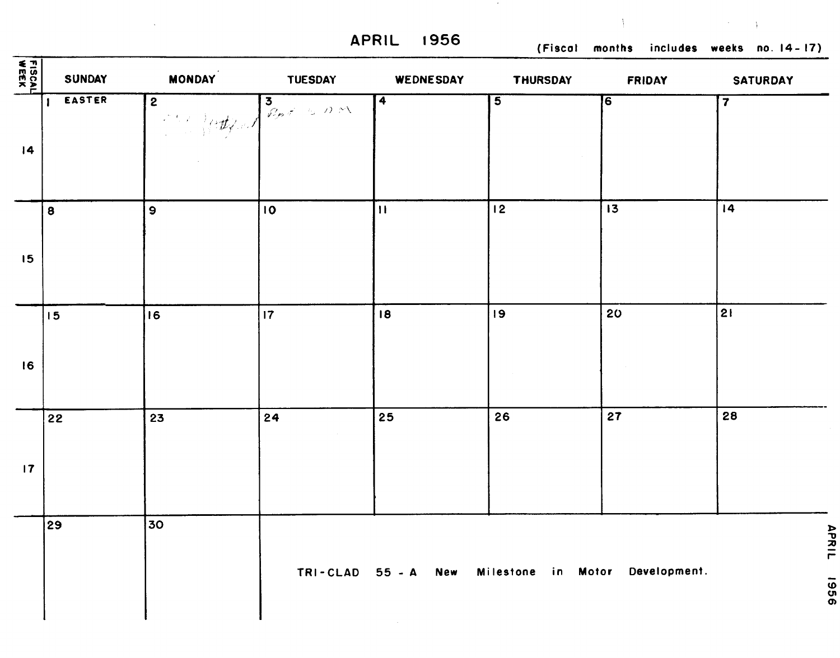$\sim$ 

**APRIL I956 (Fiscal months includes weeks no. 14- 17)** 

 $\bar{\Lambda}$ 

| FISCAL<br>PEEK  | <b>SUNDAY</b> | <b>MONDAY</b>  | <b>TUESDAY</b>                  | WEDNESDAY               | <b>THURSDAY</b>                 | <b>FRIDAY</b>   | <b>SATURDAY</b>         |
|-----------------|---------------|----------------|---------------------------------|-------------------------|---------------------------------|-----------------|-------------------------|
| $\overline{14}$ | <b>EASTER</b> | $\overline{2}$ | Both of the Common Section 2000 | $\overline{\mathbf{4}}$ | $\overline{\mathbf{5}}$         | 6]              | $\overline{\mathbf{7}}$ |
| 15              | 8             | $\overline{9}$ | 10                              | $\vert$ H               | $\overline{12}$                 | $\overline{13}$ | $\overline{14}$         |
| 16              | 15            | 16             | 17                              | 18                      | 9                               | 20              | 2                       |
| $\overline{17}$ | 22            | 23             | 24                              | 25                      | 26                              | 27              | 28                      |
|                 | 29            | 30             | $TRI-CLAD$ 55 - A               | <b>New</b>              | Milestone in Motor Development. |                 | APRIL<br>9961           |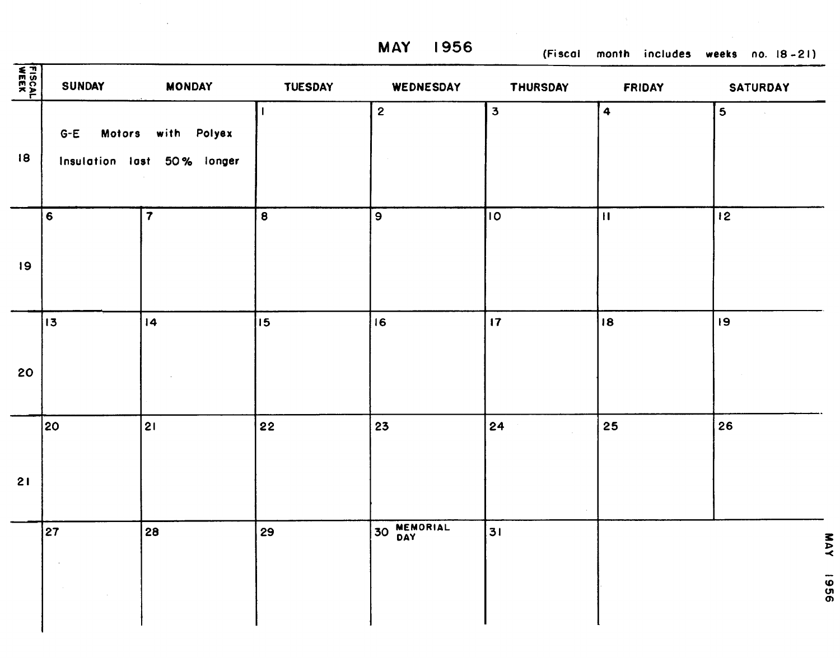**MAY 1956 (Fiscal month includes weeks no. 18 -21)** 

| FISCAL<br>WEEK | <b>SUNDAY</b>                         | <b>MONDAY</b>                             | <b>TUESDAY</b>   | WEDNESDAY    | <b>THURSDAY</b>                     | <b>FRIDAY</b> | <b>SATURDAY</b> |
|----------------|---------------------------------------|-------------------------------------------|------------------|--------------|-------------------------------------|---------------|-----------------|
| 18             | <b>Motors</b><br>$G-E$                | with Polyex<br>Insulation last 50% longer |                  | $\mathbf{2}$ | $\overline{\mathbf{3}}$             | 4             | 5               |
| 19             | $6\phantom{a}$                        | $\overline{\mathbf{7}}$                   | 8                | မြ           | $\overline{\overline{\mathsf{10}}}$ | $\mathbf{H}$  | 12              |
| 20             | 13                                    | $\overline{14}$                           | 15 <sub>15</sub> | 16           | $\overline{17}$                     | 18            | 19              |
| 21             | 20                                    | 21                                        | 22               | 23           | 24                                  | 25            | 26              |
|                | 27<br>$\mathcal{L}$<br>$\sim 10^{-1}$ | 28                                        | 29               | 30 MEMORIAL  | 31                                  |               | YAN<br>9961     |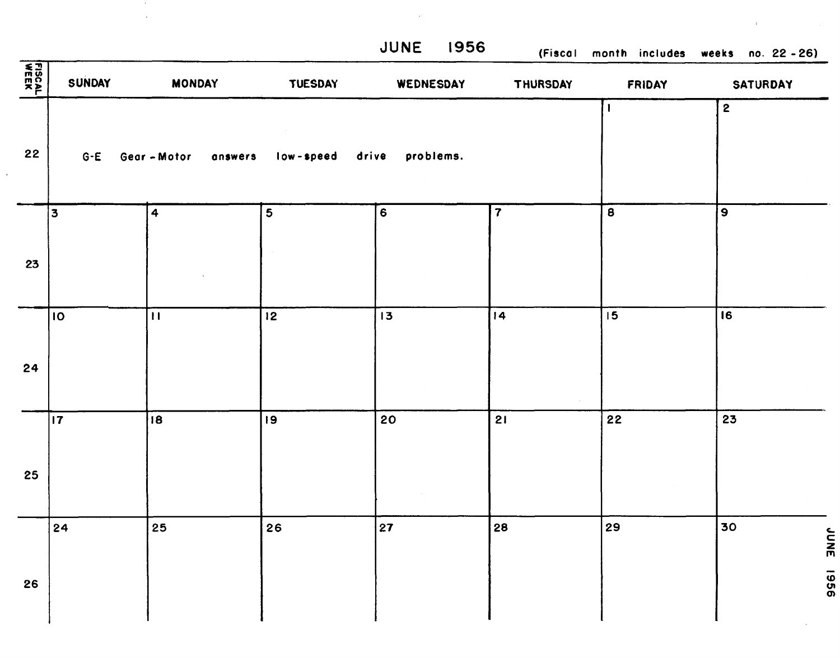$\epsilon$ 

**JUNE 1956 (Fiscal month includes weeks no. 22** - **26)** 

| FISCAL<br>WEEK | <b>SUNDAY</b> | <b>MONDAY</b>      | <b>TUESDAY</b>  | WEDNESDAY          | <b>THURSDAY</b>         | FRIDAY                  | <b>SATURDAY</b>           |
|----------------|---------------|--------------------|-----------------|--------------------|-------------------------|-------------------------|---------------------------|
| 22             | $G - E$       | Gear-Motor answers | low-speed       | drive<br>problems. |                         | 1                       | $\overline{\mathbf{2}}$   |
| 23             | 3             | 4                  | 5               | 6                  | $\overline{\mathbf{7}}$ | $\overline{\mathbf{a}}$ | $\overline{9}$            |
| 24             | 10            | $\overline{11}$    | $\overline{12}$ | $\overline{13}$    | 4                       | $\overline{15}$         | $\overline{16}$           |
| 25             | $ 17\rangle$  | $\overline{18}$    | 19              | 20                 | 21                      | $\overline{22}$         | 23                        |
| 26             | 24            | 25                 | 26              | 27                 | 28                      | 29                      | 30<br><b>JNNE</b><br>9961 |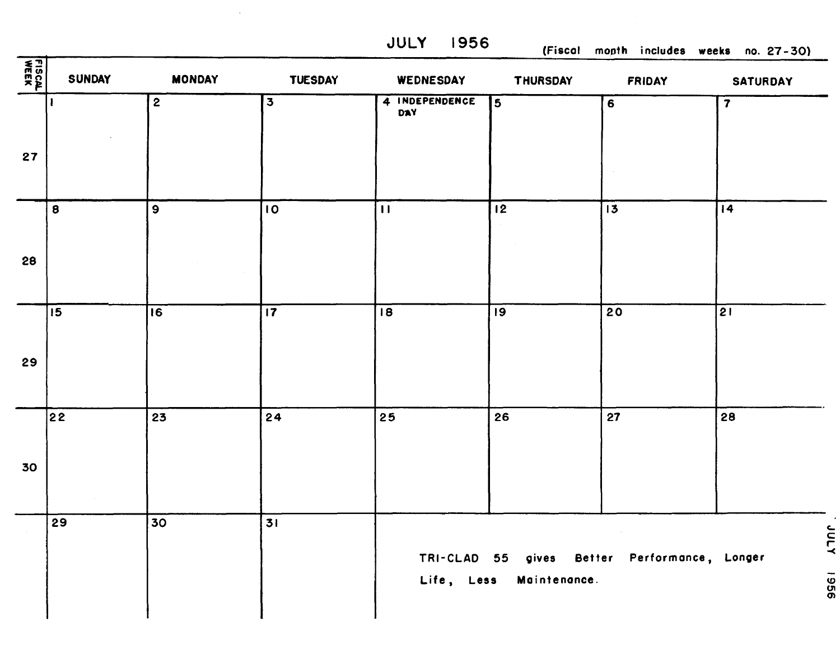**JULY 1956** 

 $\sim 10^7$ 

(Fiscal month includes weeks no. 27-30)

| FISCAL<br>WEEK | <b>SUNDAY</b>   | <b>MONDAY</b>    | <b>TUESDAY</b>          | WEDNESDAY             | <b>THURSDAY</b>         | <b>FRIDAY</b>                                | <b>SATURDAY</b>         |
|----------------|-----------------|------------------|-------------------------|-----------------------|-------------------------|----------------------------------------------|-------------------------|
|                |                 | $\mathbf{2}$     | $\overline{\mathbf{3}}$ | 4 INDEPENDENCE<br>DAY | $\overline{5}$          | $\overline{6}$                               | $\overline{\mathbf{z}}$ |
| 27             | $\mathbf{8}$    | $\boldsymbol{9}$ | 10 <sub>o</sub>         | $\mathbf{H}$          | $\overline{12}$         | $\overline{13}$                              | $\overline{14}$         |
| 28             |                 |                  |                         |                       |                         |                                              |                         |
| 29             | $\sqrt{15}$     | $\overline{16}$  | $\overline{17}$         | $\overline{18}$       | $\overline{19}$         | $\overline{20}$                              | $\overline{21}$         |
| 30             | $\overline{22}$ | 23               | 24                      | 25                    | 26                      | 27                                           | 28                      |
|                | 29              | 30               | 31                      |                       | Life, Less Maintenance. | TRI-CLAD 55 gives Better Performance, Longer | <b>Anne</b><br>9961     |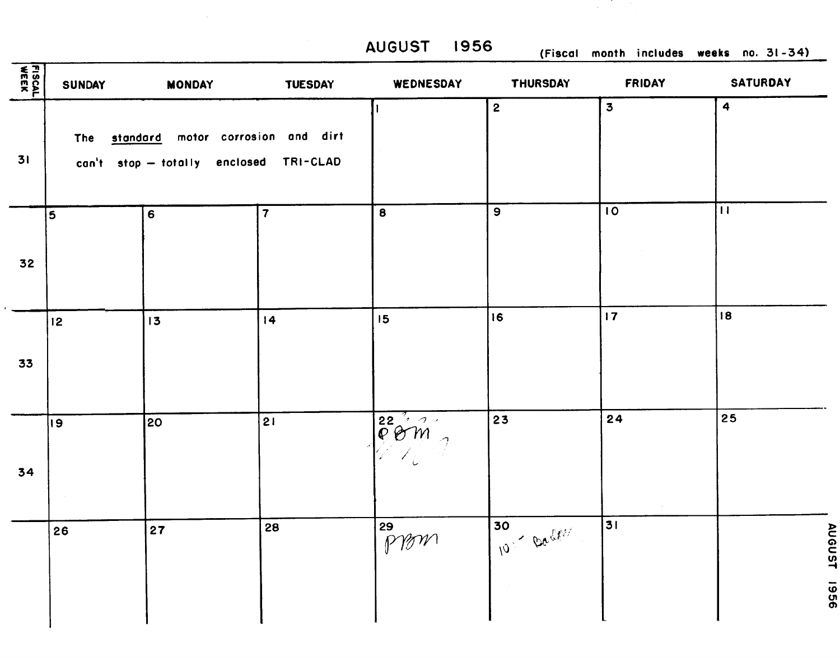|               |                         |                                                                             |                         | <b>AUGUST 1956</b>                                                           |                  |                         | (Fiscal month includes weeks no. 31-34) |
|---------------|-------------------------|-----------------------------------------------------------------------------|-------------------------|------------------------------------------------------------------------------|------------------|-------------------------|-----------------------------------------|
| <b>FISCAL</b> | <b>SUNDAY</b>           | <b>MONDAY</b>                                                               | <b>TUESDAY</b>          | WEDNESDAY                                                                    | <b>THURSDAY</b>  | <b>FRIDAY</b>           | <b>SATURDAY</b>                         |
| 31            | The                     | standard motor corrosion and dirt<br>can't stop - totally enclosed TRI-CLAD |                         |                                                                              | $\mathbf{2}$     | $\overline{\mathbf{3}}$ | $\ddot{\mathbf{4}}$                     |
| 32            | $\overline{\mathbf{5}}$ | $6\phantom{1}6$                                                             | $\overline{\mathbf{7}}$ | $\bf{8}$                                                                     | $\boldsymbol{9}$ | 10                      | $\mathbf{H}$                            |
| 33            | 12                      | 3                                                                           | $\overline{14}$         | 15                                                                           | 16               | 17                      | 18                                      |
| 34            | 19                      | 20                                                                          | 21                      | $\overline{\overset{22}{\mathcal{C}}\overset{7}{\mathcal{O}}\overset{7}{m}}$ | 23               | 24                      | 25                                      |
|               | 26                      | 27                                                                          | 28                      | $\sqrt{\frac{59}{59}}$                                                       | 30<br>10- Dactor | $\sim$<br>31            |                                         |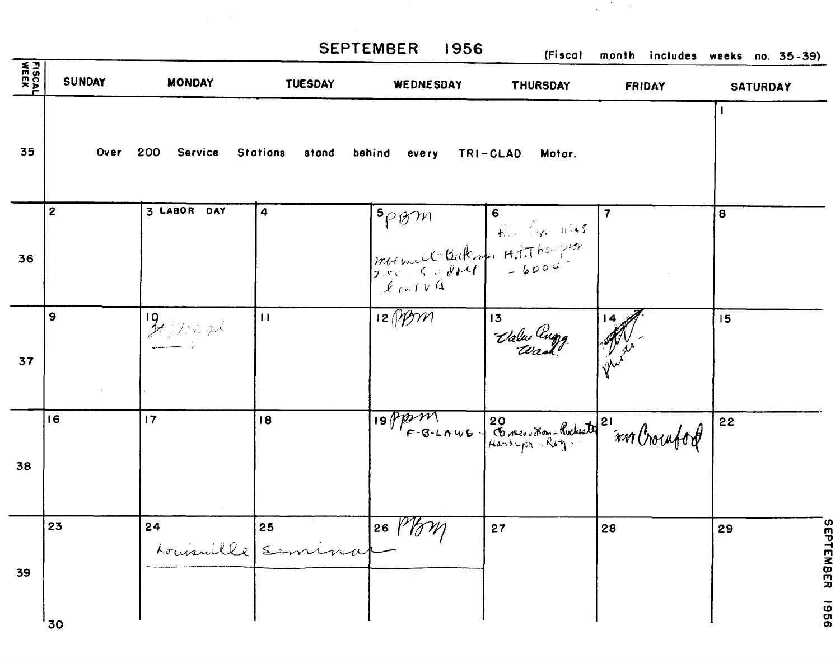|        |               |                          |                          | <b>SEPTEMBER</b><br>1956                                                                                                                                            | (Fiscol              | month includes weeks no. 35-39) |                 |
|--------|---------------|--------------------------|--------------------------|---------------------------------------------------------------------------------------------------------------------------------------------------------------------|----------------------|---------------------------------|-----------------|
| FISCAL | <b>SUNDAY</b> | <b>MONDAY</b>            | <b>TUESDAY</b>           | WEDNESDAY                                                                                                                                                           | THURSDAY             | <b>FRIDAY</b>                   | <b>SATURDAY</b> |
| 35     | Over          | 200<br>Service           | <b>Stations</b><br>stand | behind<br>every                                                                                                                                                     | TRI-CLAD<br>Motor.   |                                 |                 |
|        | $\mathbf{2}$  | 3 LABOR DAY              | 4                        |                                                                                                                                                                     |                      | $\overline{\mathbf{r}}$         | 8               |
| 36     |               |                          |                          | $\begin{array}{ c c c }\n\hline\n5\rho\otimes m & 6 & \dots & 1145 \\ \hline\nm64u. c2-6.4 d2.4 & H.7.768-222\n\hline\n2.802-6.4 d2.4 & -6004\n\hline\n\end{array}$ |                      |                                 |                 |
| 37     | 9             | $\frac{19}{27}$ / 100 pc | $\mathbf{H}$             | $\overline{12}$ (b) $\overline{21}$                                                                                                                                 | $13 -$<br>Value augg |                                 | 15              |
|        |               |                          |                          |                                                                                                                                                                     |                      |                                 |                 |
|        | 16            | 17                       | 18                       | 19 Ppm 11 20 Conservation - Richard 21<br>F-3-LAWE Randwigen - Rey - 101 Croutof                                                                                    |                      |                                 | 22              |
| 38     |               |                          |                          |                                                                                                                                                                     |                      |                                 |                 |
|        | 23            | 24                       | 25<br>Louisville (Semina | $26$ $\frac{1}{2}$<br><u> NIM</u>                                                                                                                                   | 27                   | 28                              | 29              |
| 39     |               |                          |                          |                                                                                                                                                                     |                      |                                 |                 |
|        | 30            |                          |                          |                                                                                                                                                                     |                      |                                 |                 |

 $\label{eq:2.1} \mathcal{L}(\mathcal{L}) = \mathcal{L}(\mathcal{L}) \mathcal{L}(\mathcal{L}) = \mathcal{L}(\mathcal{L}) \mathcal{L}(\mathcal{L})$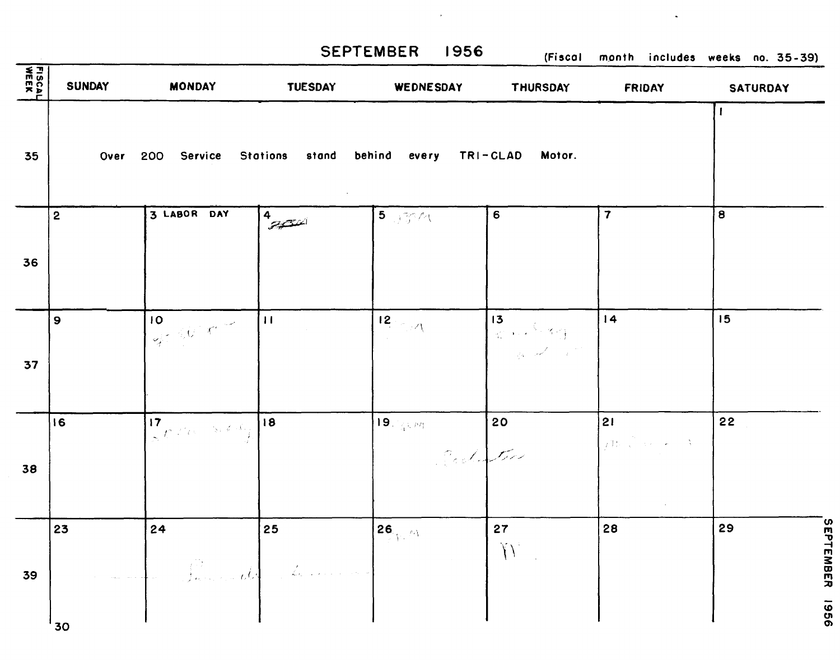$\bar{\star}$ 

SEPTEMBER 1956 (Fiscal month includes weeks no. 35-39)

| <b>FISCAL</b><br>WEEK | <b>SUNDAY</b>  | <b>MONDAY</b>                                                                                                  | <b>TUESDAY</b>                 | WEDNESDAY                                           | THURSDAY                                                                                  | <b>FRIDAY</b>                                                                                                                                                                                                                                                                                                                                                                                                                                                                                                     | <b>SATURDAY</b>         |
|-----------------------|----------------|----------------------------------------------------------------------------------------------------------------|--------------------------------|-----------------------------------------------------|-------------------------------------------------------------------------------------------|-------------------------------------------------------------------------------------------------------------------------------------------------------------------------------------------------------------------------------------------------------------------------------------------------------------------------------------------------------------------------------------------------------------------------------------------------------------------------------------------------------------------|-------------------------|
| 35                    | Over           | 200 Service                                                                                                    | <b>Stations</b>                | stand behind every TRI-CLAD Motor.                  |                                                                                           |                                                                                                                                                                                                                                                                                                                                                                                                                                                                                                                   |                         |
| 36                    | $\mathbf{2}$   | 3 LABOR DAY                                                                                                    | $4\frac{4}{\sqrt{2}}$          | $5 - 374$                                           | 6                                                                                         | $\overline{\mathbf{7}}$                                                                                                                                                                                                                                                                                                                                                                                                                                                                                           | 8                       |
| 37                    | $\overline{9}$ | 10 <sub>1</sub><br>$\mathcal{A}^{\mathcal{I}} \otimes \mathcal{C}^{\mathcal{I}}(\mathcal{K}^{\mathcal{I}})$    | $\overline{11}$                | $12<\mathcal{A}$                                    | 13<br>$\mathbb{Z}$ , $\mathbb{Z}$ , $\mathbb{Z}$<br>and a fact of the fact of the fact of | 14                                                                                                                                                                                                                                                                                                                                                                                                                                                                                                                | 15                      |
| 38                    | 16             | 17 <sup>2</sup><br>$\frac{1}{2} \int_{0}^{\pi} f(x) \, dx = \frac{1}{2} \pi \oint_{0} \frac{d\mathcal{A}}{dx}$ | 18                             | $\textbf{19.}(\mathbf{q},\mathbf{m})$ .<br>Codester | $ 20\rangle$                                                                              | 21<br>$\begin{array}{c} \mid \\ \text{if } \mathcal{W} \mid \mathcal{N} \mid \mathcal{N} \mid \mathcal{N} \mid \mathcal{N} \mid \mathcal{N} \mid \mathcal{N} \mid \mathcal{N} \mid \mathcal{N} \mid \mathcal{N} \mid \mathcal{N} \mid \mathcal{N} \mid \mathcal{N} \mid \mathcal{N} \mid \mathcal{N} \mid \mathcal{N} \mid \mathcal{N} \mid \mathcal{N} \mid \mathcal{N} \mid \mathcal{N} \mid \mathcal{N} \mid \mathcal{N} \mid \mathcal{N} \mid \mathcal{N} \mid \mathcal{N} \mid \mathcal{N$<br>$\sim 10^{-1}$ | 22                      |
| 39                    | 23<br>'30      | 24<br>James ald                                                                                                | 25<br><u>a</u> provincia de la | $\mathbf{26}_{\text{max}}$                          | 27<br>$\mathcal{N}$<br>$\mathcal{L}_{\text{max}}$                                         | 28                                                                                                                                                                                                                                                                                                                                                                                                                                                                                                                | SEPTEMBER<br>29<br>9961 |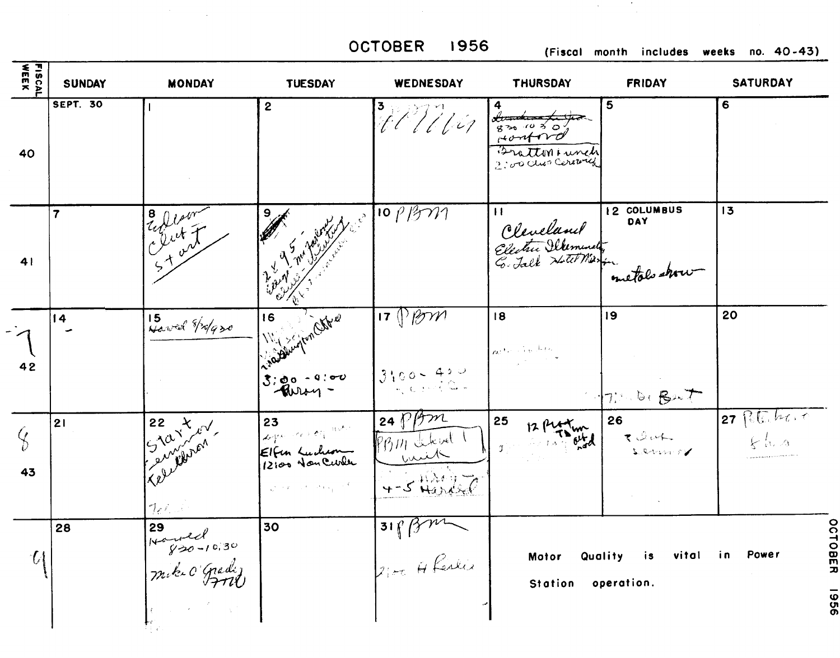$\mathcal{F}_{\mathcal{A}}$ 

 $\mathcal{L}^{\text{max}}_{\text{max}}$  and  $\mathcal{L}^{\text{max}}_{\text{max}}$ 

OCTOBER 1956 (Fiscal month includes weeks no. 40-43)

| <b>FISCAL</b><br>WEEK | <b>SUNDAY</b>   | <b>MONDAY</b>                                | <b>TUESDAY</b>                                                                                                                             | WEDNESDAY                                                             | <b>THURSDAY</b>                                                                                                                                                                                                                                                           | <b>FRIDAY</b>                            | <b>SATURDAY</b>       |
|-----------------------|-----------------|----------------------------------------------|--------------------------------------------------------------------------------------------------------------------------------------------|-----------------------------------------------------------------------|---------------------------------------------------------------------------------------------------------------------------------------------------------------------------------------------------------------------------------------------------------------------------|------------------------------------------|-----------------------|
| 40                    | <b>SEPT. 30</b> |                                              | $\mathbf{2}$                                                                                                                               | $\frac{3}{4}$ / / / / / / / /                                         | $\begin{array}{ c c }\n\hline\n&\text{f} & \text{f} & \text{f} \\ \hline\n&\text{g} & \text{f} & \text{g} & \text{f} \\ \hline\n&\text{f} & \text{f} & \text{f} & \text{f} \\ \hline\n&\text{f} & \text{f} & \text{f} & \text{f} \\ \hline\n\end{array}$<br>Bratton Lunch | 5                                        | 6                     |
| 41                    | $\overline{7}$  | Eller<br>Elist                               |                                                                                                                                            | $10$ $\beta$ $\gamma$                                                 | $\mathbf{H}$<br>Cleveland<br>Electric Silement                                                                                                                                                                                                                            | <b>15 COLUMBUS</b><br>DAY<br>metals show | 13                    |
| 42                    | $\overline{14}$ | 15 Hawel /2/930                              | - Miller Jan Chang<br>$3:80 - 9:00$                                                                                                        | $17$ $\sqrt{9}$ $\gamma$<br>$3100 - 420$                              | 18<br>$n^{(i)}$ and $n^{(i)}$                                                                                                                                                                                                                                             | 19<br>7: 10. Bent                        | 20                    |
| $\mathcal{G}$<br>43   | 21              | 22 X W<br>7.7.1                              | 23<br>Logue en 29 mars<br>Elfen Luchen<br>$\mathcal{L}^{\mathcal{L}}(x,y) = \mathcal{L}^{\mathcal{L}}(x,y) \mathcal{L}^{\mathcal{L}}(x,y)$ | $\frac{1}{24}$ $\sqrt{3}$<br>PBM there!<br>بالمنسيين<br>$4-5$ Handred | 25<br>Ĵ.                                                                                                                                                                                                                                                                  | 26<br>Reductor                           | 27 Potenticity<br>とにっ |
| $\mathcal{U}$         | 28              | 29<br>Handel<br>Hayso-10,30<br>Mike O'Gredij | 30                                                                                                                                         | $318$ Bm                                                              | Motor<br>Station operation.                                                                                                                                                                                                                                               | Quality<br>vital<br>is                   | Power<br>in i         |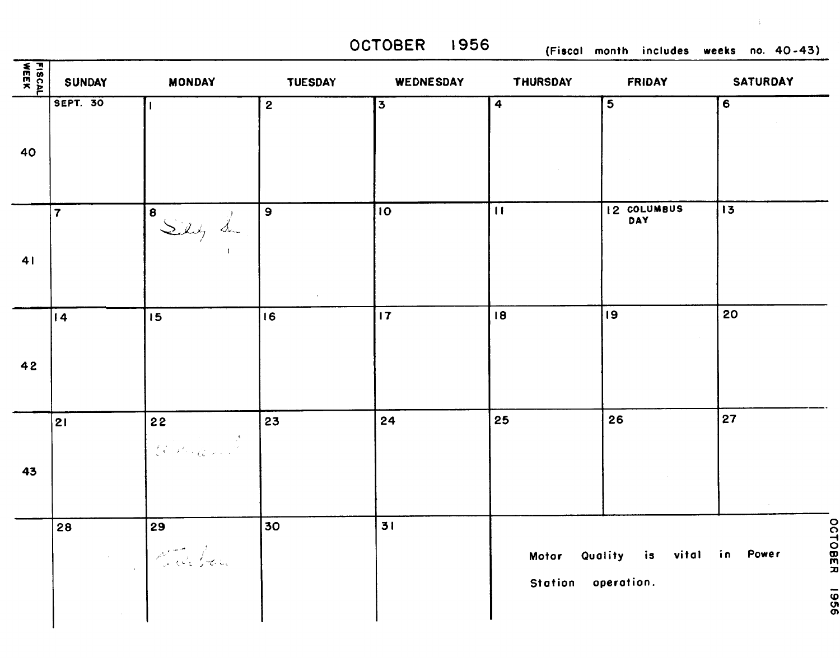**OCTOBER 1956 (Fiscal month includes weeks no. 40-43)** 

 $\frac{1}{2}$ 

| riSCAL<br>₩EEK | <b>SUNDAY</b>   | <b>MONDAY</b>    | <b>TUESDAY</b> | WEDNESDAY | <b>THURSDAY</b>    | <b>FRIDAY</b>                   | <b>SATURDAY</b>         |
|----------------|-----------------|------------------|----------------|-----------|--------------------|---------------------------------|-------------------------|
| 40             | <b>SEPT. 30</b> |                  | $\overline{2}$ | 3         | 4                  | $\overline{\mathbf{5}}$         | $\overline{\mathbf{6}}$ |
| 41             | $\overline{7}$  | Bien L           | $\mathbf{9}$   | 10        | $\mathbf{H}$       | 12 COLUMBUS<br>DAY              | 13                      |
| 42             | $\overline{14}$ | 15               | 16             | 17        | 18                 | 19                              | 20                      |
| 43             | 21              | 22<br>Robinson K | 23             | 24        | 25                 | 26                              | 27                      |
|                | 28              | 29<br>Set dela   | 30             | 31        | Station operation. | Motor Quality is vital in Power | <b>OCTOBER</b><br>9961  |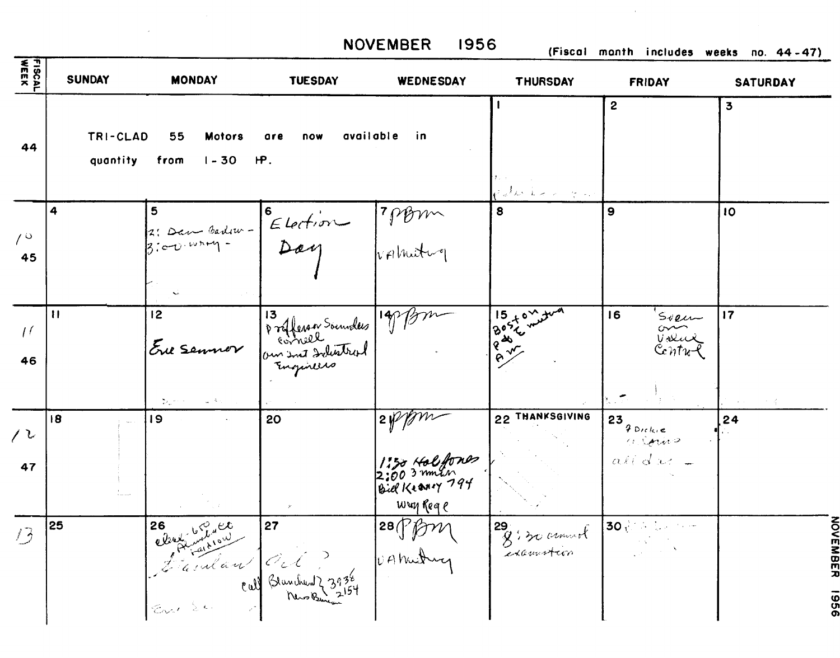**NOVEMBER 1956 (Fiscal month includes weeks no. 44-47)** 

| <b>FISCAL</b>        | <b>SUNDAY</b>        | <b>MONDAY</b>                                           | <b>TUESDAY</b>                        | WEDNESDAY                                                                    | <b>THURSDAY</b>                                                                                                        | <b>FRIDAY</b>                                         | <b>SATURDAY</b>         |
|----------------------|----------------------|---------------------------------------------------------|---------------------------------------|------------------------------------------------------------------------------|------------------------------------------------------------------------------------------------------------------------|-------------------------------------------------------|-------------------------|
| 44                   | TRI-CLAD<br>quantity | 55<br><b>Motors</b><br>from<br>$1 - 30$                 | available<br>are<br>now<br><b>IP.</b> | in.                                                                          | Patrick of the                                                                                                         | $\mathbf{2}$                                          | $\overline{\mathbf{3}}$ |
| 10<br>45             | 4                    | 5<br>2: Dan Barlow -<br>$3:60.417 -$                    | Election 7 prom                       |                                                                              | 8                                                                                                                      | $\mathbf{9}$                                          | 10                      |
| $\frac{1}{2}$<br>46  | $\mathbf{H}$         | 12<br>Ere Semmer<br>あしゃくりょう<br>$\sim 2\gamma_{\rm max}$ | Profferson Sounders 1978              |                                                                              | $\frac{15}{8}$ $\frac{15}{8}$ $\frac{1}{8}$ $\frac{1}{8}$ $\frac{1}{8}$ $\frac{1}{8}$ $\frac{1}{8}$<br>$16\frac{2}{3}$ | 16<br>Sveu<br>$\sim$<br>Volux<br>Centu-l              | 17                      |
| $\ell^{\,\nu}$<br>47 | 18                   | 19                                                      | 20                                    | $\frac{1}{2}$<br>1:30 Halfones<br>2:00 3 mmsn<br>Bill Krany 794<br>wwy Req e | 22 THANKSGIVING                                                                                                        | 23<br>$9$ Dickie<br>$\alpha$ Spring<br>$a$ kidu $t$ = | 24                      |
| 13                   | 25                   | Clement Grand<br>En Se                                  | 27<br>Familien Cel ?                  | $ ^{28}\sqrt[6]{f}$<br>VAMutun                                               | 29 . 20 around                                                                                                         | $30\sqrt{3}$                                          |                         |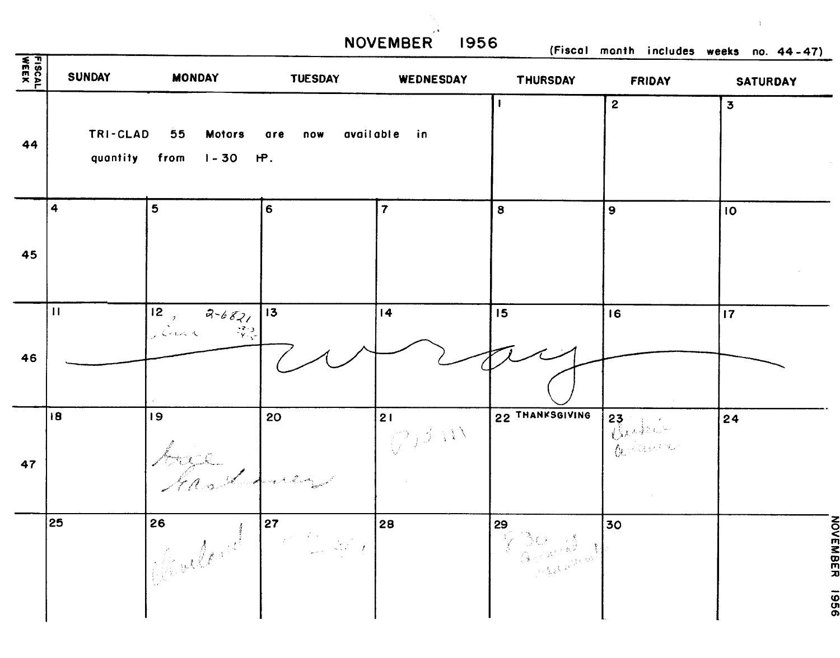**NOVEMBER 1956 (Fiscal month includes weeks no. 44-47)** 

| FISCAL<br>WEEK | <b>SUNDAY</b>             | <b>MONDAY</b>                       | <b>TUESDAY</b>  | WEDNESDAY                        | <b>THURSDAY</b> | <b>FRIDAY</b> | $\cdots$<br><b>SATURDAY</b> |
|----------------|---------------------------|-------------------------------------|-----------------|----------------------------------|-----------------|---------------|-----------------------------|
| 44             | TRI-CLAD<br>quantity from | 55<br><b>Motors</b><br>$1 - 30$ HP. | are<br>now      | available in                     |                 | $\mathbf{2}$  | $\overline{\mathbf{3}}$     |
| 45             | 4                         | 5                                   | $6\phantom{1}$  | $\overline{7}$                   | 8               | 9             | IO                          |
| 46             | $\mathbf{H}$              | $12$ , $3-682$                      | 13 <sub>1</sub> | 14                               | 15              | 16            | 17                          |
| 47             | 18                        | 9 <br>base from                     | 20              | 21<br>$\mathbb{C}^{j \beta   W}$ | 22 THANKSGIVING | 23            | 24                          |
|                | 25                        |                                     | Complete Prince | 28                               | 29              | 30            | NOVEMBER<br>9961            |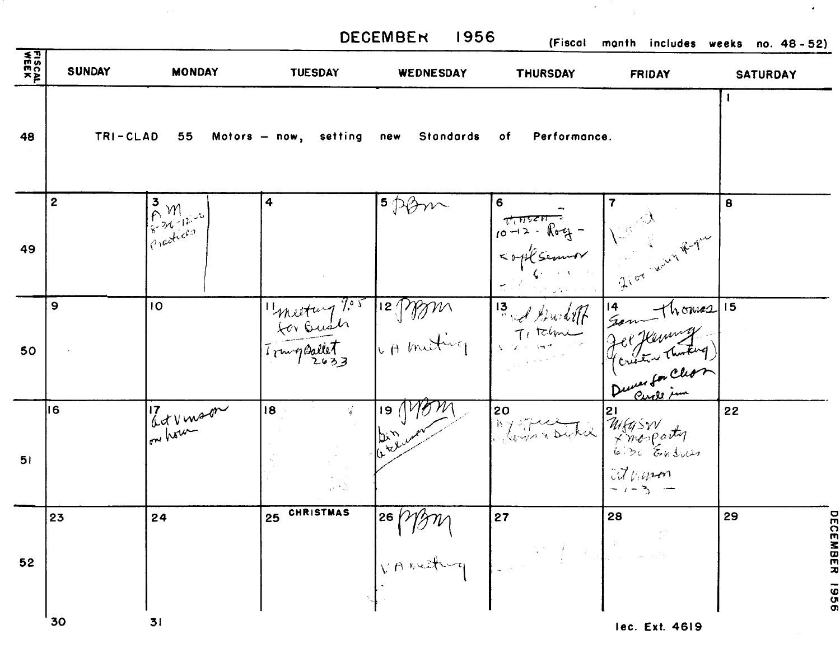|               |               |                                       |                                                    | <b>DECEMBER</b><br>  1956       | (Fiscal         | month includes weeks no. 48-52)                                                                                     |                 |
|---------------|---------------|---------------------------------------|----------------------------------------------------|---------------------------------|-----------------|---------------------------------------------------------------------------------------------------------------------|-----------------|
| <b>FISCAL</b> | <b>SUNDAY</b> | <b>MONDAY</b>                         | <b>TUESDAY</b>                                     | WEDNESDAY                       | <b>THURSDAY</b> | <b>FRIDAY</b>                                                                                                       | <b>SATURDAY</b> |
| 48            |               |                                       | TRI-CLAD 55 Motors - now, setting new Standards of |                                 | Performance.    |                                                                                                                     |                 |
| 49            | 2             | 3 M<br>Em <sup>12 N</sup><br>Emericas | 4                                                  | $5$ posin                       | $6 -$           | 6<br>$10-12 - 10-4$<br>$10-12 - 10-4$<br>$10-12 - 10-4$<br>$10-4$<br>$10-4$<br>$10-4$<br>$10-4$<br>$10-4$<br>$10-4$ | 8               |
| 50            | 9             | 10                                    |                                                    | "mestury ?" 12 MM 13 et brolift |                 | 14 Tours 15                                                                                                         |                 |
| 51            | 16            | at vinson                             | 18                                                 | 19(<br><b>by way</b>            |                 | $\begin{array}{ l l }\n\hline\n0 & 0 & 21 \\ \hline\n0 & 0 & 0 \\ 0 & 0 & 0\n\end{array}$                           | 22              |
| 52            | 23            | 24                                    | 25 CHRISTMAS                                       | 26 Mars 2017                    | 27              | 28                                                                                                                  | 29<br>π<br>DER  |
|               | 30            | 31                                    |                                                    |                                 |                 | Lec Frt 4619                                                                                                        |                 |

 $\mathcal{L}(\mathcal{A})$ 

 $\sim 10$ 

 $\langle \rangle$ 

 $\sim$   $\sim$